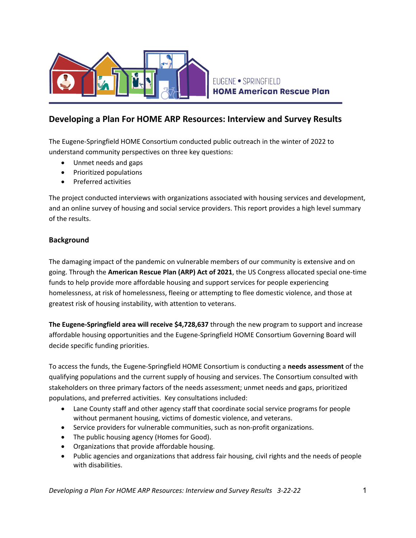

# **Developing a Plan For HOME ARP Resources: Interview and Survey Results**

The Eugene-Springfield HOME Consortium conducted public outreach in the winter of 2022 to understand community perspectives on three key questions:

- Unmet needs and gaps
- Prioritized populations
- Preferred activities

The project conducted interviews with organizations associated with housing services and development, and an online survey of housing and social service providers. This report provides a high level summary of the results.

## **Background**

The damaging impact of the pandemic on vulnerable members of our community is extensive and on going. Through the **American Rescue Plan (ARP) Act of 2021**, the US Congress allocated special one-time funds to help provide more affordable housing and support services for people experiencing homelessness, at risk of homelessness, fleeing or attempting to flee domestic violence, and those at greatest risk of housing instability, with attention to veterans.

**The Eugene-Springfield area will receive \$4,728,637** through the new program to support and increase affordable housing opportunities and the Eugene-Springfield HOME Consortium Governing Board will decide specific funding priorities.

To access the funds, the Eugene-Springfield HOME Consortium is conducting a **needs assessment** of the qualifying populations and the current supply of housing and services. The Consortium consulted with stakeholders on three primary factors of the needs assessment; unmet needs and gaps, prioritized populations, and preferred activities. Key consultations included:

- Lane County staff and other agency staff that coordinate social service programs for people without permanent housing, victims of domestic violence, and veterans.
- Service providers for vulnerable communities, such as non-profit organizations.
- The public housing agency (Homes for Good).
- Organizations that provide affordable housing.
- Public agencies and organizations that address fair housing, civil rights and the needs of people with disabilities.

*Developing a Plan For HOME ARP Resources: Interview and Survey Results 3-22-22* 1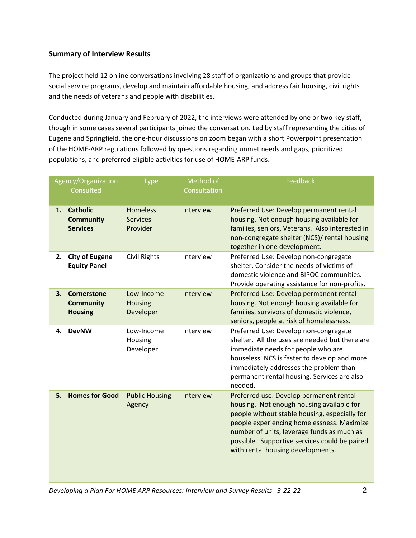## **Summary of Interview Results**

The project held 12 online conversations involving 28 staff of organizations and groups that provide social service programs, develop and maintain affordable housing, and address fair housing, civil rights and the needs of veterans and people with disabilities.

Conducted during January and February of 2022, the interviews were attended by one or two key staff, though in some cases several participants joined the conversation. Led by staff representing the cities of Eugene and Springfield, the one-hour discussions on zoom began with a short Powerpoint presentation of the HOME-ARP regulations followed by questions regarding unmet needs and gaps, prioritized populations, and preferred eligible activities for use of HOME-ARP funds.

| Agency/Organization<br>Consulted |                                                          | <b>Type</b>                                    | Method of<br>Consultation | Feedback                                                                                                                                                                                                                                                                                                                |
|----------------------------------|----------------------------------------------------------|------------------------------------------------|---------------------------|-------------------------------------------------------------------------------------------------------------------------------------------------------------------------------------------------------------------------------------------------------------------------------------------------------------------------|
| 1.                               | <b>Catholic</b><br><b>Community</b><br><b>Services</b>   | <b>Homeless</b><br><b>Services</b><br>Provider | Interview                 | Preferred Use: Develop permanent rental<br>housing. Not enough housing available for<br>families, seniors, Veterans. Also interested in<br>non-congregate shelter (NCS)/ rental housing<br>together in one development.                                                                                                 |
| 2.                               | <b>City of Eugene</b><br><b>Equity Panel</b>             | <b>Civil Rights</b>                            | Interview                 | Preferred Use: Develop non-congregate<br>shelter. Consider the needs of victims of<br>domestic violence and BIPOC communities.<br>Provide operating assistance for non-profits.                                                                                                                                         |
| 3.                               | <b>Cornerstone</b><br><b>Community</b><br><b>Housing</b> | Low-Income<br><b>Housing</b><br>Developer      | Interview                 | Preferred Use: Develop permanent rental<br>housing. Not enough housing available for<br>families, survivors of domestic violence,<br>seniors, people at risk of homelessness.                                                                                                                                           |
| 4.                               | <b>DevNW</b>                                             | Low-Income<br>Housing<br>Developer             | Interview                 | Preferred Use: Develop non-congregate<br>shelter. All the uses are needed but there are<br>immediate needs for people who are<br>houseless. NCS is faster to develop and more<br>immediately addresses the problem than<br>permanent rental housing. Services are also<br>needed.                                       |
| 5.                               | <b>Homes for Good</b>                                    | <b>Public Housing</b><br>Agency                | Interview                 | Preferred use: Develop permanent rental<br>housing. Not enough housing available for<br>people without stable housing, especially for<br>people experiencing homelessness. Maximize<br>number of units, leverage funds as much as<br>possible. Supportive services could be paired<br>with rental housing developments. |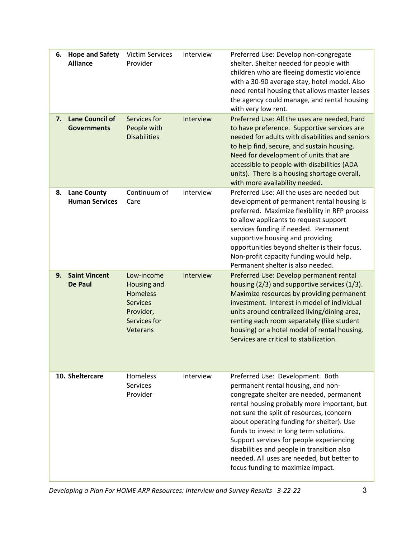| 6. | <b>Hope and Safety</b><br><b>Alliance</b>    | <b>Victim Services</b><br>Provider                                                                       | Interview | Preferred Use: Develop non-congregate<br>shelter. Shelter needed for people with<br>children who are fleeing domestic violence<br>with a 30-90 average stay, hotel model. Also<br>need rental housing that allows master leases<br>the agency could manage, and rental housing<br>with very low rent.                                                                                                                                                                               |
|----|----------------------------------------------|----------------------------------------------------------------------------------------------------------|-----------|-------------------------------------------------------------------------------------------------------------------------------------------------------------------------------------------------------------------------------------------------------------------------------------------------------------------------------------------------------------------------------------------------------------------------------------------------------------------------------------|
| 7. | <b>Lane Council of</b><br><b>Governments</b> | Services for<br>People with<br><b>Disabilities</b>                                                       | Interview | Preferred Use: All the uses are needed, hard<br>to have preference. Supportive services are<br>needed for adults with disabilities and seniors<br>to help find, secure, and sustain housing.<br>Need for development of units that are<br>accessible to people with disabilities (ADA<br>units). There is a housing shortage overall,<br>with more availability needed.                                                                                                             |
| 8. | <b>Lane County</b><br><b>Human Services</b>  | Continuum of<br>Care                                                                                     | Interview | Preferred Use: All the uses are needed but<br>development of permanent rental housing is<br>preferred. Maximize flexibility in RFP process<br>to allow applicants to request support<br>services funding if needed. Permanent<br>supportive housing and providing<br>opportunities beyond shelter is their focus.<br>Non-profit capacity funding would help.<br>Permanent shelter is also needed.                                                                                   |
| 9. | <b>Saint Vincent</b><br>De Paul              | Low-income<br>Housing and<br><b>Homeless</b><br><b>Services</b><br>Provider,<br>Services for<br>Veterans | Interview | Preferred Use: Develop permanent rental<br>housing (2/3) and supportive services (1/3).<br>Maximize resources by providing permanent<br>investment. Interest in model of individual<br>units around centralized living/dining area,<br>renting each room separately (like student<br>housing) or a hotel model of rental housing.<br>Services are critical to stabilization.                                                                                                        |
|    | 10. Sheltercare                              | Homeless<br><b>Services</b><br>Provider                                                                  | Interview | Preferred Use: Development. Both<br>permanent rental housing, and non-<br>congregate shelter are needed, permanent<br>rental housing probably more important, but<br>not sure the split of resources, (concern<br>about operating funding for shelter). Use<br>funds to invest in long term solutions.<br>Support services for people experiencing<br>disabilities and people in transition also<br>needed. All uses are needed, but better to<br>focus funding to maximize impact. |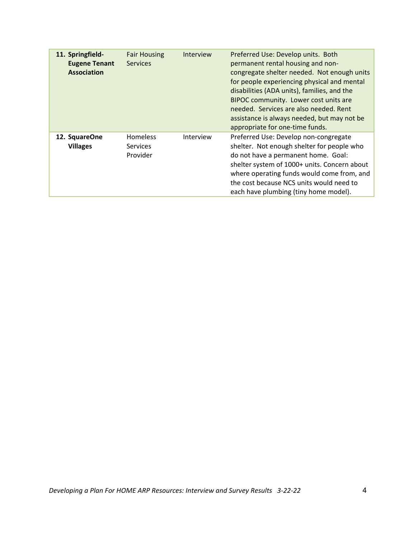| 11. Springfield-<br><b>Eugene Tenant</b><br><b>Association</b> | <b>Fair Housing</b><br><b>Services</b>         | Interview | Preferred Use: Develop units. Both<br>permanent rental housing and non-<br>congregate shelter needed. Not enough units<br>for people experiencing physical and mental<br>disabilities (ADA units), families, and the<br>BIPOC community. Lower cost units are<br>needed. Services are also needed. Rent<br>assistance is always needed, but may not be<br>appropriate for one-time funds. |
|----------------------------------------------------------------|------------------------------------------------|-----------|-------------------------------------------------------------------------------------------------------------------------------------------------------------------------------------------------------------------------------------------------------------------------------------------------------------------------------------------------------------------------------------------|
| 12. SquareOne<br><b>Villages</b>                               | <b>Homeless</b><br><b>Services</b><br>Provider | Interview | Preferred Use: Develop non-congregate<br>shelter. Not enough shelter for people who<br>do not have a permanent home. Goal:<br>shelter system of 1000+ units. Concern about<br>where operating funds would come from, and<br>the cost because NCS units would need to<br>each have plumbing (tiny home model).                                                                             |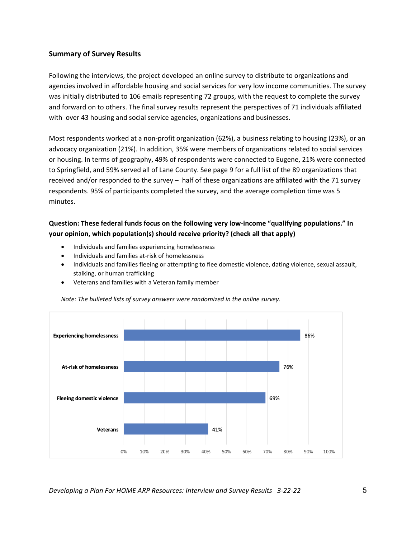### **Summary of Survey Results**

Following the interviews, the project developed an online survey to distribute to organizations and agencies involved in affordable housing and social services for very low income communities. The survey was initially distributed to 106 emails representing 72 groups, with the request to complete the survey and forward on to others. The final survey results represent the perspectives of 71 individuals affiliated with over 43 housing and social service agencies, organizations and businesses.

Most respondents worked at a non-profit organization (62%), a business relating to housing (23%), or an advocacy organization (21%). In addition, 35% were members of organizations related to social services or housing. In terms of geography, 49% of respondents were connected to Eugene, 21% were connected to Springfield, and 59% served all of Lane County. See page 9 for a full list of the 89 organizations that received and/or responded to the survey – half of these organizations are affiliated with the 71 survey respondents. 95% of participants completed the survey, and the average completion time was 5 minutes.

## **Question: These federal funds focus on the following very low-income "qualifying populations." In your opinion, which population(s) should receive priority? (check all that apply)**

- Individuals and families experiencing homelessness
- Individuals and families at-risk of homelessness
- Individuals and families fleeing or attempting to flee domestic violence, dating violence, sexual assault, stalking, or human trafficking



• Veterans and families with a Veteran family member

*Note: The bulleted lists of survey answers were randomized in the online survey.*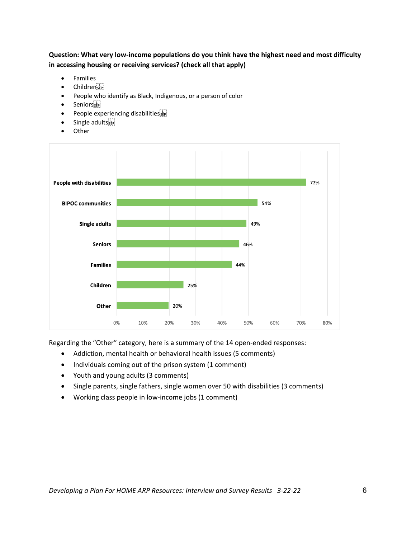**Question: What very low-income populations do you think have the highest need and most difficulty in accessing housing or receiving services? (check all that apply)** 

- Families
- Children
- People who identify as Black, Indigenous, or a person of color
- Seniors<sub>iser</sub>
- People experiencing disabilitiessier
- Single adults<sup>[17]</sup>
- **Other**



Regarding the "Other" category, here is a summary of the 14 open-ended responses:

- Addiction, mental health or behavioral health issues (5 comments)
- Individuals coming out of the prison system (1 comment)
- Youth and young adults (3 comments)
- Single parents, single fathers, single women over 50 with disabilities (3 comments)
- Working class people in low-income jobs (1 comment)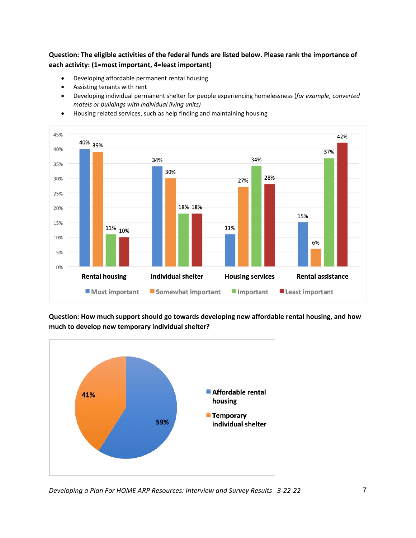**Question: The eligible activities of the federal funds are listed below. Please rank the importance of each activity: (1=most important, 4=least important)** 

- Developing affordable permanent rental housing
- Assisting tenants with rent
- Developing individual permanent shelter for people experiencing homelessness (*for example, converted motels or buildings with individual living units)*



• Housing related services, such as help finding and maintaining housing

**Question: How much support should go towards developing new affordable rental housing, and how much to develop new temporary individual shelter?** 



*Developing a Plan For HOME ARP Resources: Interview and Survey Results 3-22-22* 7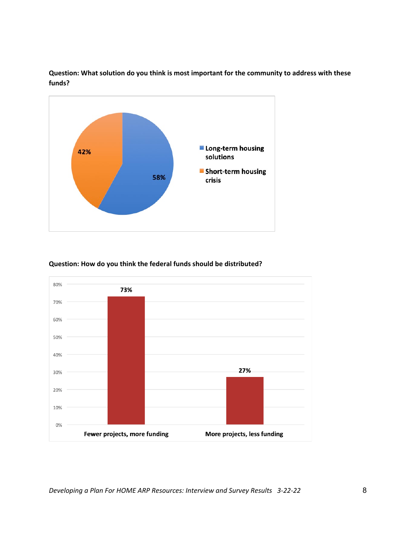**Question: What solution do you think is most important for the community to address with these funds?** 





#### **Question: How do you think the federal funds should be distributed?**

*Developing a Plan For HOME ARP Resources: Interview and Survey Results 3-22-22* 8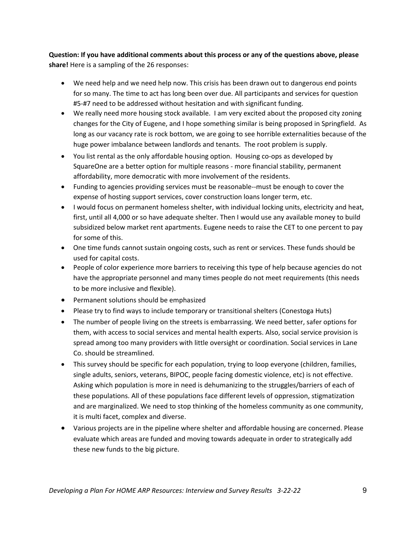**Question: If you have additional comments about this process or any of the questions above, please share!** Here is a sampling of the 26 responses:

- We need help and we need help now. This crisis has been drawn out to dangerous end points for so many. The time to act has long been over due. All participants and services for question #5-#7 need to be addressed without hesitation and with significant funding.
- We really need more housing stock available. I am very excited about the proposed city zoning changes for the City of Eugene, and I hope something similar is being proposed in Springfield. As long as our vacancy rate is rock bottom, we are going to see horrible externalities because of the huge power imbalance between landlords and tenants. The root problem is supply.
- You list rental as the only affordable housing option. Housing co-ops as developed by SquareOne are a better option for multiple reasons - more financial stability, permanent affordability, more democratic with more involvement of the residents.
- Funding to agencies providing services must be reasonable--must be enough to cover the expense of hosting support services, cover construction loans longer term, etc.
- I would focus on permanent homeless shelter, with individual locking units, electricity and heat, first, until all 4,000 or so have adequate shelter. Then I would use any available money to build subsidized below market rent apartments. Eugene needs to raise the CET to one percent to pay for some of this.
- One time funds cannot sustain ongoing costs, such as rent or services. These funds should be used for capital costs.
- People of color experience more barriers to receiving this type of help because agencies do not have the appropriate personnel and many times people do not meet requirements (this needs to be more inclusive and flexible).
- Permanent solutions should be emphasized
- Please try to find ways to include temporary or transitional shelters (Conestoga Huts)
- The number of people living on the streets is embarrassing. We need better, safer options for them, with access to social services and mental health experts. Also, social service provision is spread among too many providers with little oversight or coordination. Social services in Lane Co. should be streamlined.
- This survey should be specific for each population, trying to loop everyone (children, families, single adults, seniors, veterans, BIPOC, people facing domestic violence, etc) is not effective. Asking which population is more in need is dehumanizing to the struggles/barriers of each of these populations. All of these populations face different levels of oppression, stigmatization and are marginalized. We need to stop thinking of the homeless community as one community, it is multi facet, complex and diverse.
- Various projects are in the pipeline where shelter and affordable housing are concerned. Please evaluate which areas are funded and moving towards adequate in order to strategically add these new funds to the big picture.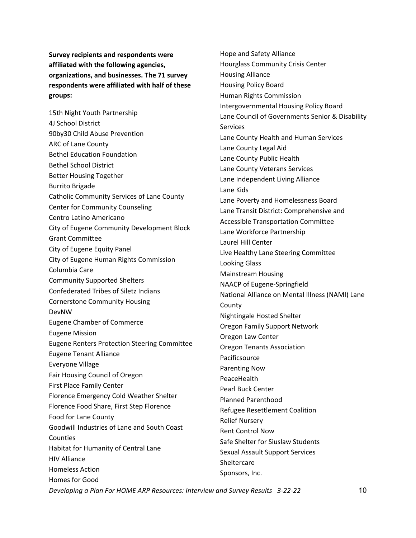**Survey recipients and respondents were affiliated with the following agencies, organizations, and businesses. The 71 survey respondents were affiliated with half of these groups:** 

15th Night Youth Partnership 4J School District 90by30 Child Abuse Prevention ARC of Lane County Bethel Education Foundation Bethel School District Better Housing Together Burrito Brigade Catholic Community Services of Lane County Center for Community Counseling Centro Latino Americano City of Eugene Community Development Block Grant Committee City of Eugene Equity Panel City of Eugene Human Rights Commission Columbia Care Community Supported Shelters Confederated Tribes of Siletz Indians Cornerstone Community Housing DevNW Eugene Chamber of Commerce Eugene Mission Eugene Renters Protection Steering Committee Eugene Tenant Alliance Everyone Village Fair Housing Council of Oregon First Place Family Center Florence Emergency Cold Weather Shelter Florence Food Share, First Step Florence Food for Lane County Goodwill Industries of Lane and South Coast **Counties** Habitat for Humanity of Central Lane HIV Alliance Homeless Action Homes for Good

Hope and Safety Alliance Hourglass Community Crisis Center Housing Alliance Housing Policy Board Human Rights Commission Intergovernmental Housing Policy Board Lane Council of Governments Senior & Disability **Services** Lane County Health and Human Services Lane County Legal Aid Lane County Public Health Lane County Veterans Services Lane Independent Living Alliance Lane Kids Lane Poverty and Homelessness Board Lane Transit District: Comprehensive and Accessible Transportation Committee Lane Workforce Partnership Laurel Hill Center Live Healthy Lane Steering Committee Looking Glass Mainstream Housing NAACP of Eugene-Springfield National Alliance on Mental Illness (NAMI) Lane County Nightingale Hosted Shelter Oregon Family Support Network Oregon Law Center Oregon Tenants Association Pacificsource Parenting Now **PeaceHealth** Pearl Buck Center Planned Parenthood Refugee Resettlement Coalition Relief Nursery Rent Control Now Safe Shelter for Siuslaw Students Sexual Assault Support Services **Sheltercare** Sponsors, Inc.

*Developing a Plan For HOME ARP Resources: Interview and Survey Results 3-22-22* 10